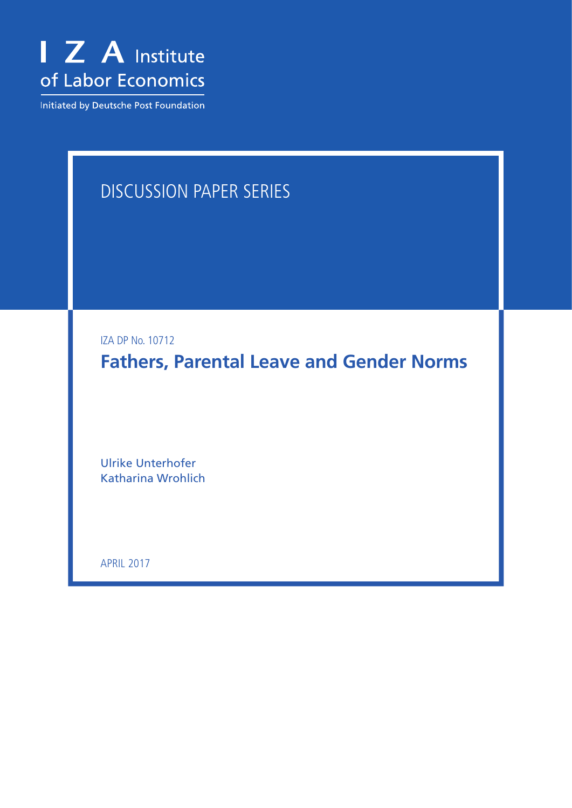

Initiated by Deutsche Post Foundation

## Discussion Paper Series

IZA DP No. 10712

**Fathers, Parental Leave and Gender Norms**

Ulrike Unterhofer Katharina Wrohlich

April 2017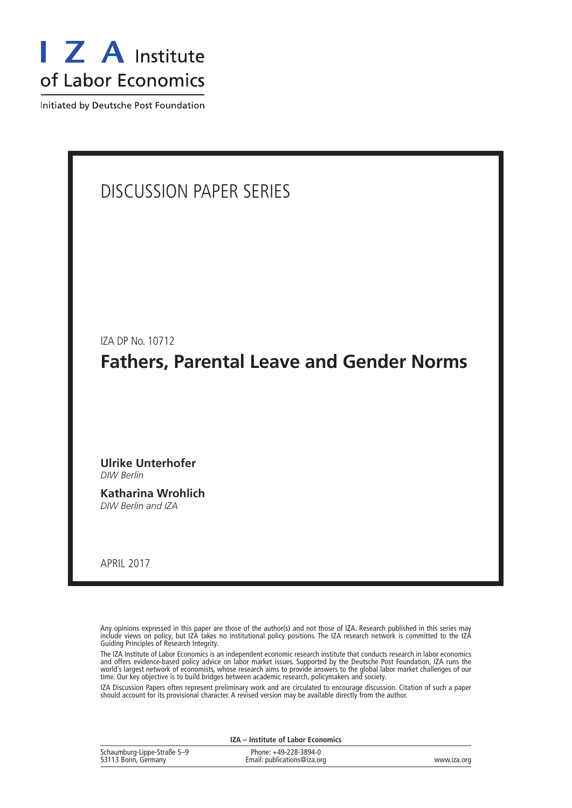

Initiated by Deutsche Post Foundation

# Discussion Paper Series IZA DP No. 10712 **Fathers, Parental Leave and Gender Norms Ulrike Unterhofer** *DIW Berlin* **Katharina Wrohlich** *DIW Berlin and IZA*

April 2017

Any opinions expressed in this paper are those of the author(s) and not those of IZA. Research published in this series may include views on policy, but IZA takes no institutional policy positions. The IZA research network is committed to the IZA Guiding Principles of Research Integrity.

The IZA Institute of Labor Economics is an independent economic research institute that conducts research in labor economics and offers evidence-based policy advice on labor market issues. Supported by the Deutsche Post Foundation, IZA runs the world's largest network of economists, whose research aims to provide answers to the global labor market challenges of our time. Our key objective is to build bridges between academic research, policymakers and society.

IZA Discussion Papers often represent preliminary work and are circulated to encourage discussion. Citation of such a paper should account for its provisional character. A revised version may be available directly from the author.

Schaumburg-Lippe-Straße 5–9 53113 Bonn, Germany Phone: +49-228-3894-0 Email: publications@iza.org www.iza.org **IZA – Institute of Labor Economics**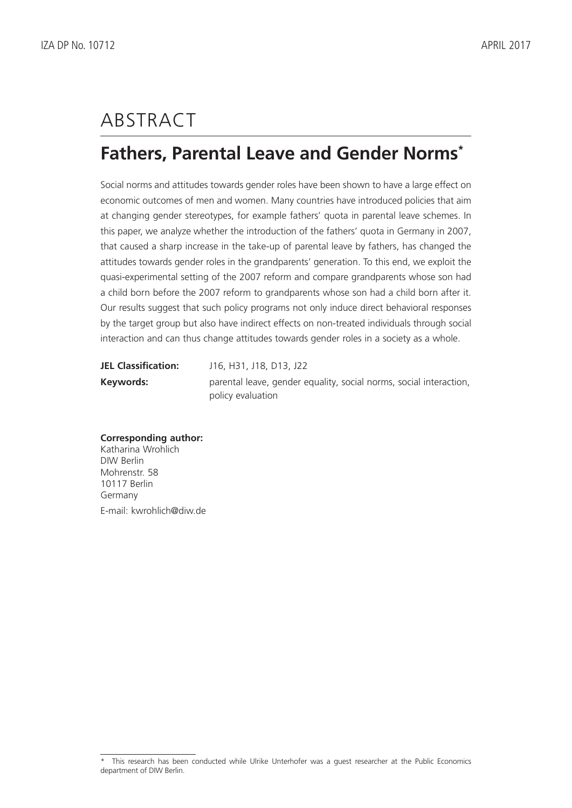## **ABSTRACT**

### **Fathers, Parental Leave and Gender Norms\***

Social norms and attitudes towards gender roles have been shown to have a large effect on economic outcomes of men and women. Many countries have introduced policies that aim at changing gender stereotypes, for example fathers' quota in parental leave schemes. In this paper, we analyze whether the introduction of the fathers' quota in Germany in 2007, that caused a sharp increase in the take-up of parental leave by fathers, has changed the attitudes towards gender roles in the grandparents' generation. To this end, we exploit the quasi-experimental setting of the 2007 reform and compare grandparents whose son had a child born before the 2007 reform to grandparents whose son had a child born after it. Our results suggest that such policy programs not only induce direct behavioral responses by the target group but also have indirect effects on non-treated individuals through social interaction and can thus change attitudes towards gender roles in a society as a whole.

| <b>JEL Classification:</b> | J16, H31, J18, D13, J22                                            |
|----------------------------|--------------------------------------------------------------------|
| Keywords:                  | parental leave, gender equality, social norms, social interaction, |
|                            | policy evaluation                                                  |

#### **Corresponding author:**

Katharina Wrohlich DIW Berlin Mohrenstr. 58 10117 Berlin Germany E-mail: kwrohlich@diw.de

This research has been conducted while Ulrike Unterhofer was a guest researcher at the Public Economics department of DIW Berlin.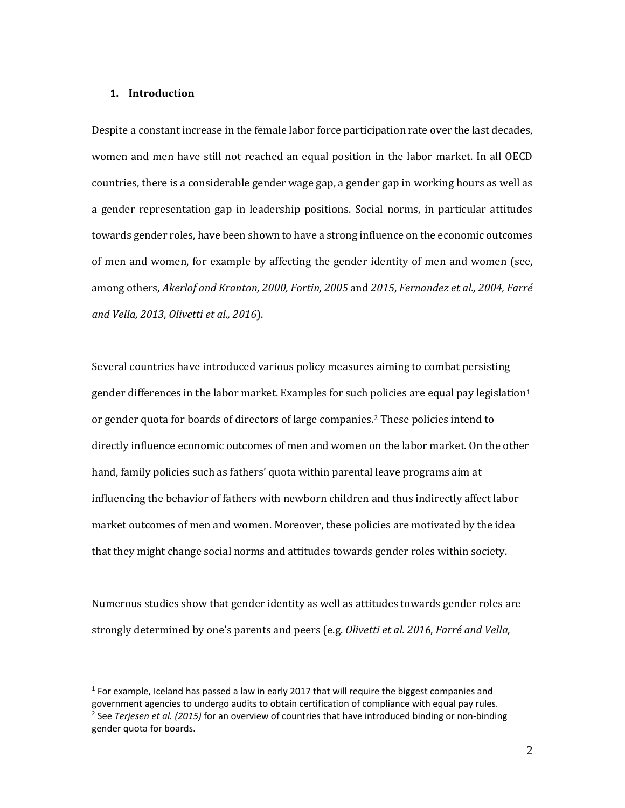#### **1. Introduction**

 $\overline{a}$ 

Despite a constant increase in the female labor force participation rate over the last decades, women and men have still not reached an equal position in the labor market. In all OECD countries, there is a considerable gender wage gap, a gender gap in working hours as well as a gender representation gap in leadership positions. Social norms, in particular attitudes towards gender roles, have been shown to have a strong influence on the economic outcomes of men and women, for example by affecting the gender identity of men and women (see, among others, *Akerlof and Kranton, 2000, Fortin, 2005* and *2015*, *Fernandez et al., 2004, Farré and Vella, 2013*, *Olivetti et al., 2016*).

Several countries have introduced various policy measures aiming to combat persisting gender differences in the labor market. Examples for such policies are equal pay legislation<sup>[1](#page-3-0)</sup> or gender quota for boards of directors of large companies.[2](#page-3-1) These policies intend to directly influence economic outcomes of men and women on the labor market. On the other hand, family policies such as fathers' quota within parental leave programs aim at influencing the behavior of fathers with newborn children and thus indirectly affect labor market outcomes of men and women. Moreover, these policies are motivated by the idea that they might change social norms and attitudes towards gender roles within society.

Numerous studies show that gender identity as well as attitudes towards gender roles are strongly determined by one's parents and peers (e.g. *Olivetti et al. 2016*, *Farré and Vella,* 

<span id="page-3-1"></span><span id="page-3-0"></span> $1$  For example, Iceland has passed a law in early 2017 that will require the biggest companies and government agencies to undergo audits to obtain certification of compliance with equal pay rules. <sup>2</sup> See *Terjesen et al. (2015)* for an overview of countries that have introduced binding or non-binding gender quota for boards.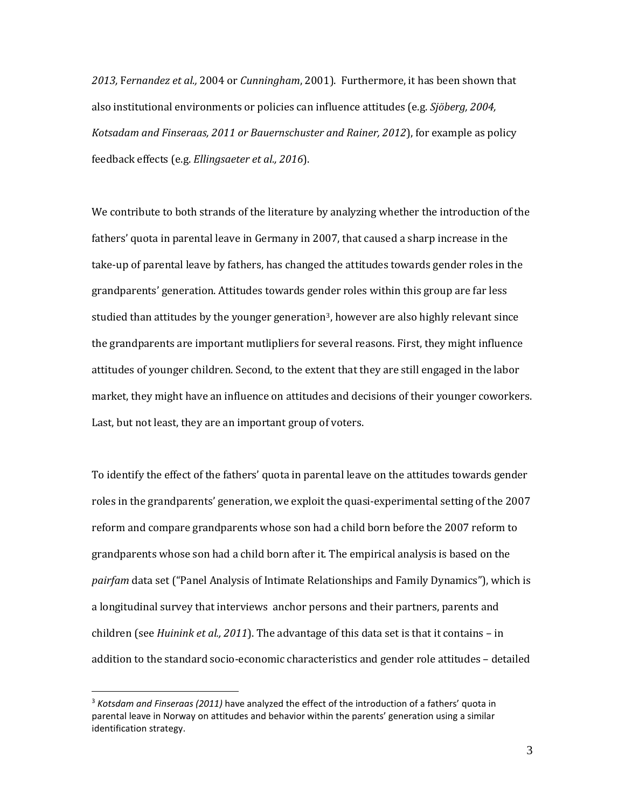*2013,* F*ernandez et al.,* 2004 or *Cunningham*, 2001). Furthermore, it has been shown that also institutional environments or policies can influence attitudes (e.g. *Sjöberg, 2004, Kotsadam and Finseraas, 2011 or Bauernschuster and Rainer, 2012*), for example as policy feedback effects (e.g. *Ellingsaeter et al., 2016*).

We contribute to both strands of the literature by analyzing whether the introduction of the fathers' quota in parental leave in Germany in 2007, that caused a sharp increase in the take-up of parental leave by fathers, has changed the attitudes towards gender roles in the grandparents' generation. Attitudes towards gender roles within this group are far less studied than attitudes by the younger generation<sup>3</sup>, however are also highly relevant since the grandparents are important mutlipliers for several reasons. First, they might influence attitudes of younger children. Second, to the extent that they are still engaged in the labor market, they might have an influence on attitudes and decisions of their younger coworkers. Last, but not least, they are an important group of voters.

To identify the effect of the fathers' quota in parental leave on the attitudes towards gender roles in the grandparents' generation, we exploit the quasi-experimental setting of the 2007 reform and compare grandparents whose son had a child born before the 2007 reform to grandparents whose son had a child born after it. The empirical analysis is based on the *pairfam* data set ("Panel Analysis of Intimate Relationships and Family Dynamics"), which is a longitudinal survey that interviews anchor persons and their partners, parents and children (see *Huinink et al., 2011*). The advantage of this data set is that it contains – in addition to the standard socio-economic characteristics and gender role attitudes – detailed

<span id="page-4-0"></span><sup>3</sup> *Kotsdam and Finseraas (2011)* have analyzed the effect of the introduction of a fathers' quota in parental leave in Norway on attitudes and behavior within the parents' generation using a similar identification strategy.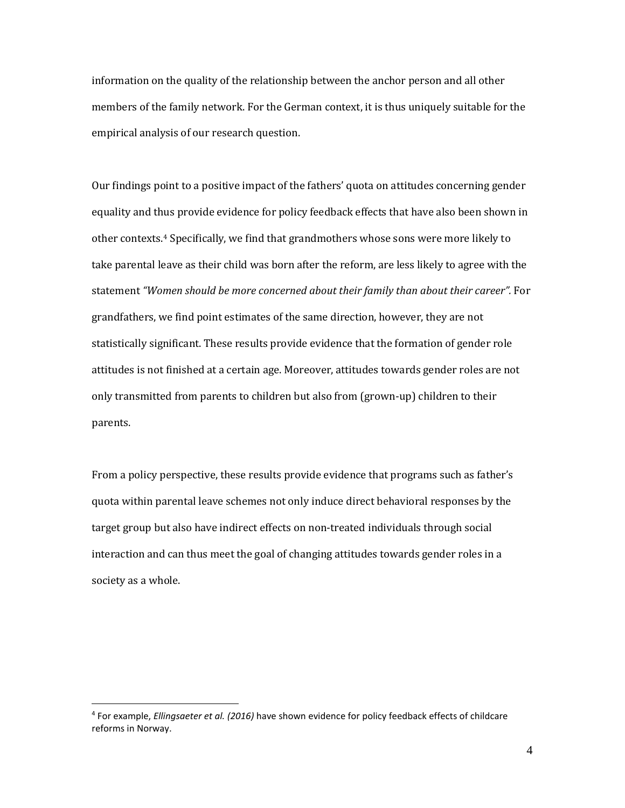information on the quality of the relationship between the anchor person and all other members of the family network. For the German context, it is thus uniquely suitable for the empirical analysis of our research question.

Our findings point to a positive impact of the fathers' quota on attitudes concerning gender equality and thus provide evidence for policy feedback effects that have also been shown in other contexts[.4](#page-5-0) Specifically, we find that grandmothers whose sons were more likely to take parental leave as their child was born after the reform, are less likely to agree with the statement *"Women should be more concerned about their family than about their career".* For grandfathers, we find point estimates of the same direction, however, they are not statistically significant. These results provide evidence that the formation of gender role attitudes is not finished at a certain age. Moreover, attitudes towards gender roles are not only transmitted from parents to children but also from (grown-up) children to their parents.

From a policy perspective, these results provide evidence that programs such as father's quota within parental leave schemes not only induce direct behavioral responses by the target group but also have indirect effects on non-treated individuals through social interaction and can thus meet the goal of changing attitudes towards gender roles in a society as a whole.

<span id="page-5-0"></span><sup>4</sup> For example, *Ellingsaeter et al. (2016)* have shown evidence for policy feedback effects of childcare reforms in Norway.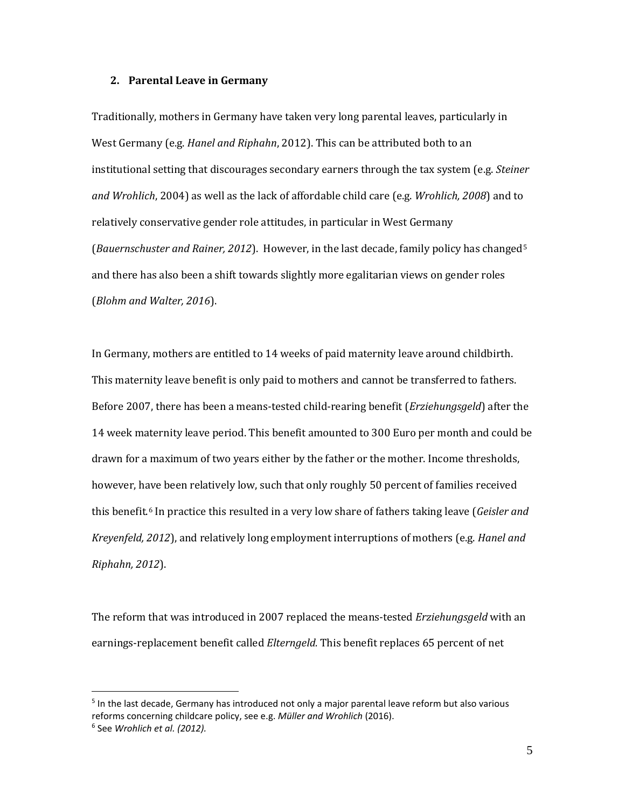#### **2. Parental Leave in Germany**

Traditionally, mothers in Germany have taken very long parental leaves, particularly in West Germany (e.g. *Hanel and Riphahn*, 2012). This can be attributed both to an institutional setting that discourages secondary earners through the tax system (e.g. *Steiner and Wrohlich*, 2004) as well as the lack of affordable child care (e.g. *Wrohlich, 2008*) and to relatively conservative gender role attitudes, in particular in West Germany (*Bauernschuster and Rainer, 2012*). However, in the last decade, family policy has changed[5](#page-6-0) and there has also been a shift towards slightly more egalitarian views on gender roles (*Blohm and Walter, 2016*).

In Germany, mothers are entitled to 14 weeks of paid maternity leave around childbirth. This maternity leave benefit is only paid to mothers and cannot be transferred to fathers. Before 2007, there has been a means-tested child-rearing benefit (*Erziehungsgeld*) after the 14 week maternity leave period. This benefit amounted to 300 Euro per month and could be drawn for a maximum of two years either by the father or the mother. Income thresholds, however, have been relatively low, such that only roughly 50 percent of families received this benefit.[6](#page-6-1) In practice this resulted in a very low share of fathers taking leave (*Geisler and Kreyenfeld, 2012*), and relatively long employment interruptions of mothers (e.g. *Hanel and Riphahn, 2012*).

The reform that was introduced in 2007 replaced the means-tested *Erziehungsgeld* with an earnings-replacement benefit called *Elterngeld.* This benefit replaces 65 percent of net

<span id="page-6-1"></span><span id="page-6-0"></span> $<sup>5</sup>$  In the last decade, Germany has introduced not only a major parental leave reform but also various</sup> reforms concerning childcare policy, see e.g. *Müller and Wrohlich* (2016). <sup>6</sup> See *Wrohlich et al. (2012).*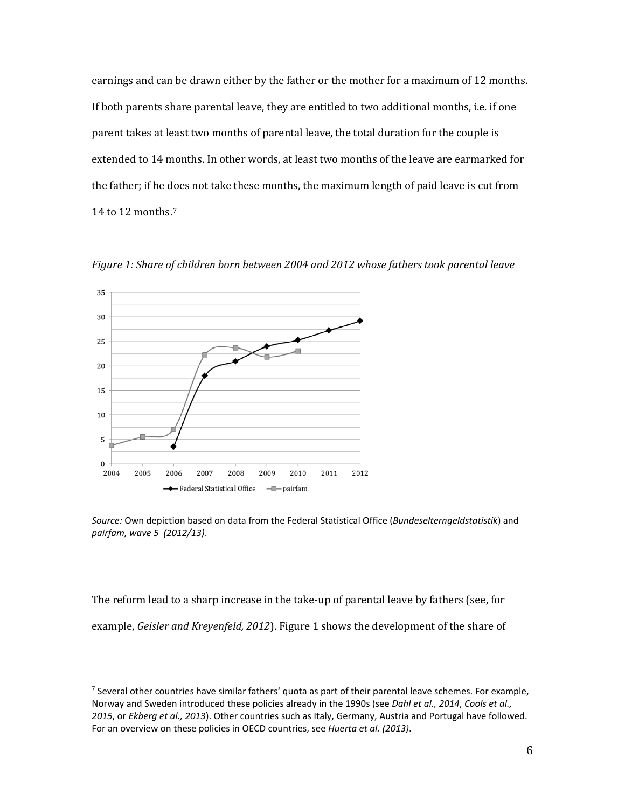earnings and can be drawn either by the father or the mother for a maximum of 12 months. If both parents share parental leave, they are entitled to two additional months, i.e. if one parent takes at least two months of parental leave, the total duration for the couple is extended to 14 months. In other words, at least two months of the leave are earmarked for the father; if he does not take these months, the maximum length of paid leave is cut from 14 to 12 months.[7](#page-7-0)



 $\overline{a}$ 

*Figure 1: Share of children born between 2004 and 2012 whose fathers took parental leave*

*Source:* Own depiction based on data from the Federal Statistical Office (*Bundeselterngeldstatistik*) and *pairfam, wave 5 (2012/13)*.

The reform lead to a sharp increase in the take-up of parental leave by fathers (see, for example, *Geisler and Kreyenfeld, 2012*). Figure 1 shows the development of the share of

<span id="page-7-0"></span><sup>7</sup> Several other countries have similar fathers' quota as part of their parental leave schemes. For example, Norway and Sweden introduced these policies already in the 1990s (see *Dahl et al., 2014*, *Cools et al., 2015*, or *Ekberg et al., 2013*). Other countries such as Italy, Germany, Austria and Portugal have followed. For an overview on these policies in OECD countries, see *Huerta et al. (2013)*.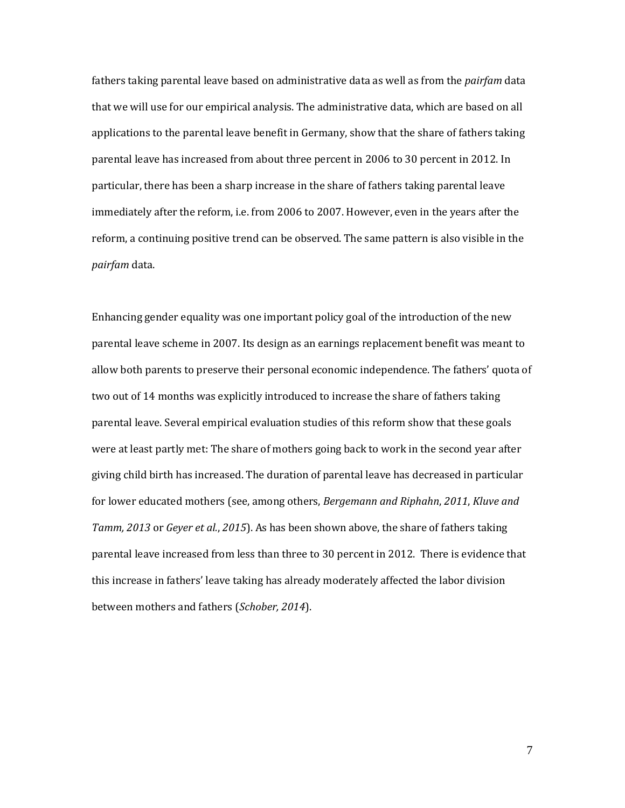fathers taking parental leave based on administrative data as well as from the *pairfam* data that we will use for our empirical analysis. The administrative data, which are based on all applications to the parental leave benefit in Germany, show that the share of fathers taking parental leave has increased from about three percent in 2006 to 30 percent in 2012. In particular, there has been a sharp increase in the share of fathers taking parental leave immediately after the reform, i.e. from 2006 to 2007. However, even in the years after the reform, a continuing positive trend can be observed. The same pattern is also visible in the *pairfam* data.

Enhancing gender equality was one important policy goal of the introduction of the new parental leave scheme in 2007. Its design as an earnings replacement benefit was meant to allow both parents to preserve their personal economic independence. The fathers' quota of two out of 14 months was explicitly introduced to increase the share of fathers taking parental leave. Several empirical evaluation studies of this reform show that these goals were at least partly met: The share of mothers going back to work in the second year after giving child birth has increased. The duration of parental leave has decreased in particular for lower educated mothers (see, among others, *Bergemann and Riphahn*, *2011*, *Kluve and Tamm, 2013* or *Geyer et al.*, *2015*). As has been shown above, the share of fathers taking parental leave increased from less than three to 30 percent in 2012. There is evidence that this increase in fathers' leave taking has already moderately affected the labor division between mothers and fathers (*Schober, 2014*).

7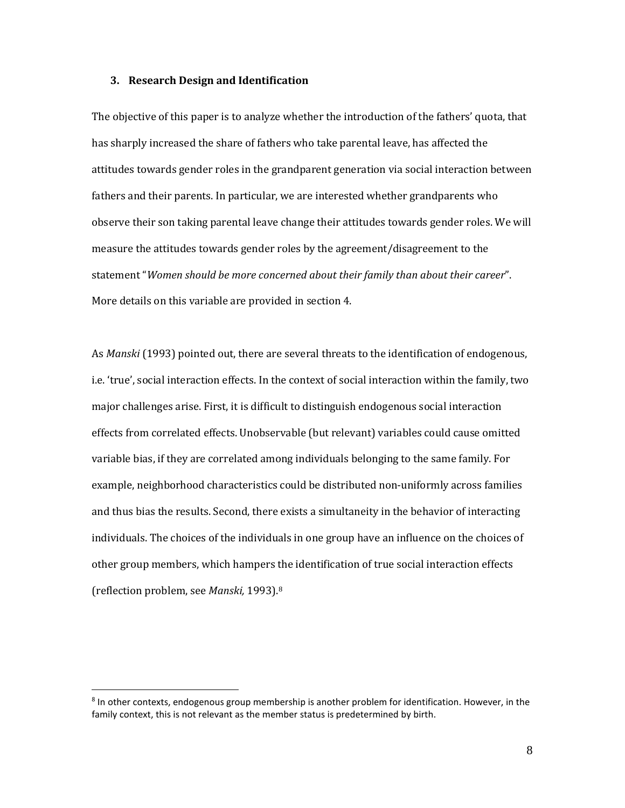#### **3. Research Design and Identification**

The objective of this paper is to analyze whether the introduction of the fathers' quota, that has sharply increased the share of fathers who take parental leave, has affected the attitudes towards gender roles in the grandparent generation via social interaction between fathers and their parents. In particular, we are interested whether grandparents who observe their son taking parental leave change their attitudes towards gender roles. We will measure the attitudes towards gender roles by the agreement/disagreement to the statement "*Women should be more concerned about their family than about their career*". More details on this variable are provided in section 4.

As *Manski* (1993) pointed out, there are several threats to the identification of endogenous, i.e. 'true', social interaction effects. In the context of social interaction within the family, two major challenges arise. First, it is difficult to distinguish endogenous social interaction effects from correlated effects. Unobservable (but relevant) variables could cause omitted variable bias, if they are correlated among individuals belonging to the same family. For example, neighborhood characteristics could be distributed non-uniformly across families and thus bias the results. Second, there exists a simultaneity in the behavior of interacting individuals. The choices of the individuals in one group have an influence on the choices of other group members, which hampers the identification of true social interaction effects (reflection problem, see *Manski,* 1993)[.8](#page-9-0)

<span id="page-9-0"></span><sup>&</sup>lt;sup>8</sup> In other contexts, endogenous group membership is another problem for identification. However, in the family context, this is not relevant as the member status is predetermined by birth.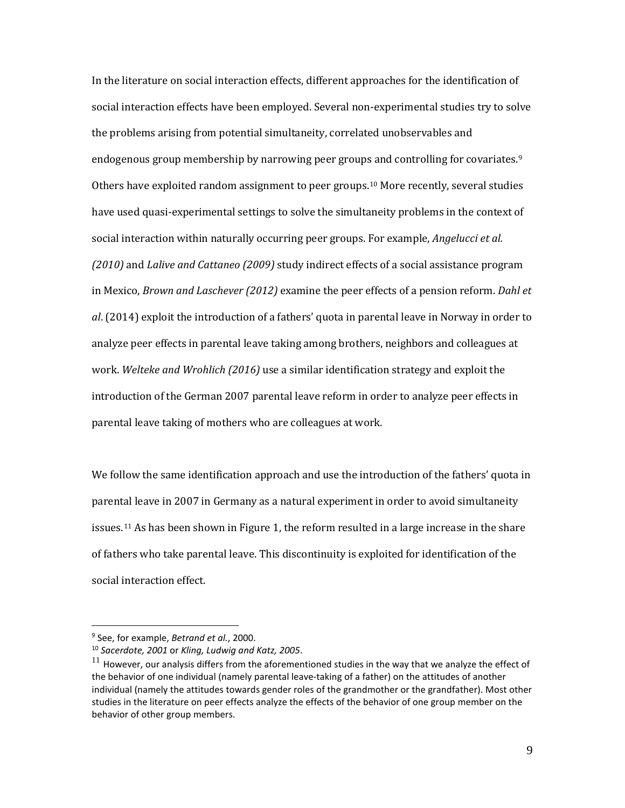In the literature on social interaction effects, different approaches for the identification of social interaction effects have been employed. Several non-experimental studies try to solve the problems arising from potential simultaneity, correlated unobservables and endogenous group membership by narrowing peer groups and controlling for covariates.[9](#page-10-0) Others have exploited random assignment to peer groups.[10](#page-10-1) More recently, several studies have used quasi-experimental settings to solve the simultaneity problems in the context of social interaction within naturally occurring peer groups. For example, *Angelucci et al. (2010)* and *Lalive and Cattaneo (2009)* study indirect effects of a social assistance program in Mexico, *Brown and Laschever (2012)* examine the peer effects of a pension reform. *Dahl et al*. (2014) exploit the introduction of a fathers' quota in parental leave in Norway in order to analyze peer effects in parental leave taking among brothers, neighbors and colleagues at work. *Welteke and Wrohlich (2016)* use a similar identification strategy and exploit the introduction of the German 2007 parental leave reform in order to analyze peer effects in parental leave taking of mothers who are colleagues at work.

We follow the same identification approach and use the introduction of the fathers' quota in parental leave in 2007 in Germany as a natural experiment in order to avoid simultaneity issues.<sup>11</sup> As has been shown in Figure 1, the reform resulted in a large increase in the share of fathers who take parental leave. This discontinuity is exploited for identification of the social interaction effect.

<span id="page-10-0"></span><sup>9</sup> See, for example, *Betrand et al.*, 2000.

<span id="page-10-1"></span><sup>10</sup> *Sacerdote, 2001* or *Kling, Ludwig and Katz, 2005*.

<span id="page-10-2"></span> $11$  However, our analysis differs from the aforementioned studies in the way that we analyze the effect of the behavior of one individual (namely parental leave-taking of a father) on the attitudes of another individual (namely the attitudes towards gender roles of the grandmother or the grandfather). Most other studies in the literature on peer effects analyze the effects of the behavior of one group member on the behavior of other group members.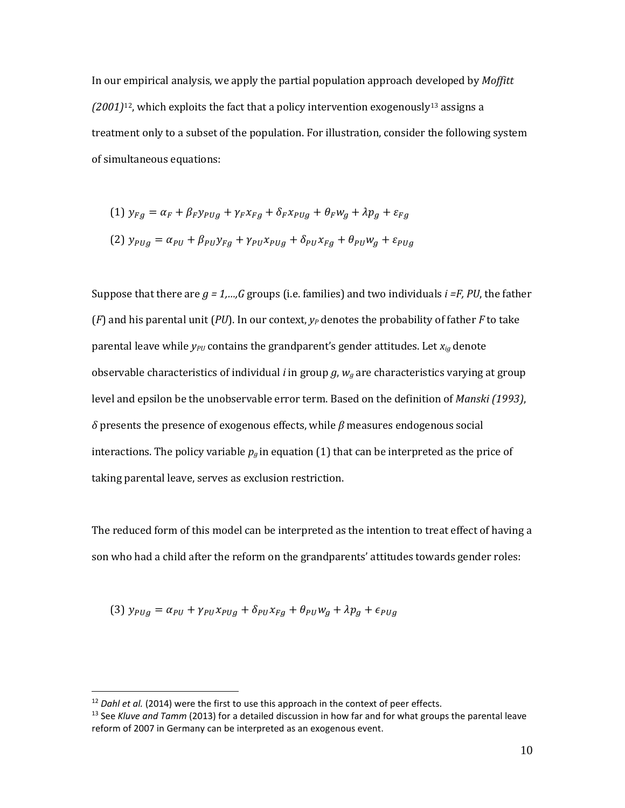In our empirical analysis, we apply the partial population approach developed by *Moffitt (2001)*[12,](#page-11-0) which exploits the fact that a policy intervention exogenously[13](#page-11-1) assigns a treatment only to a subset of the population. For illustration, consider the following system of simultaneous equations:

$$
(1) y_{Fg} = \alpha_F + \beta_F y_{PUg} + \gamma_F x_{Fg} + \delta_F x_{PUg} + \theta_F w_g + \lambda p_g + \varepsilon_{Fg}
$$
  

$$
(2) y_{PUg} = \alpha_{PU} + \beta_{PU} y_{Fg} + \gamma_{PU} x_{PUg} + \delta_{PU} x_{Fg} + \theta_{PU} w_g + \varepsilon_{PUg}
$$

Suppose that there are *g = 1,…,G* groups (i.e. families) and two individuals *i =F, PU*, the father ( $F$ ) and his parental unit ( $PU$ ). In our context,  $y_P$  denotes the probability of father  $F$  to take parental leave while *y<sub>PU</sub>* contains the grandparent's gender attitudes. Let *x<sub>ig</sub>* denote observable characteristics of individual *i* in group *g*, *wg* are characteristics varying at group level and epsilon be the unobservable error term. Based on the definition of *Manski (1993)*, *δ* presents the presence of exogenous effects, while *β* measures endogenous social interactions. The policy variable  $p_q$  in equation (1) that can be interpreted as the price of taking parental leave, serves as exclusion restriction.

The reduced form of this model can be interpreted as the intention to treat effect of having a son who had a child after the reform on the grandparents' attitudes towards gender roles:

(3) 
$$
y_{PUg} = \alpha_{PU} + \gamma_{PU} x_{PUg} + \delta_{PU} x_{Fg} + \theta_{PU} w_g + \lambda p_g + \epsilon_{PUg}
$$

<span id="page-11-0"></span><sup>&</sup>lt;sup>12</sup> *Dahl et al.* (2014) were the first to use this approach in the context of peer effects.

<span id="page-11-1"></span><sup>13</sup> See *Kluve and Tamm* (2013) for a detailed discussion in how far and for what groups the parental leave reform of 2007 in Germany can be interpreted as an exogenous event.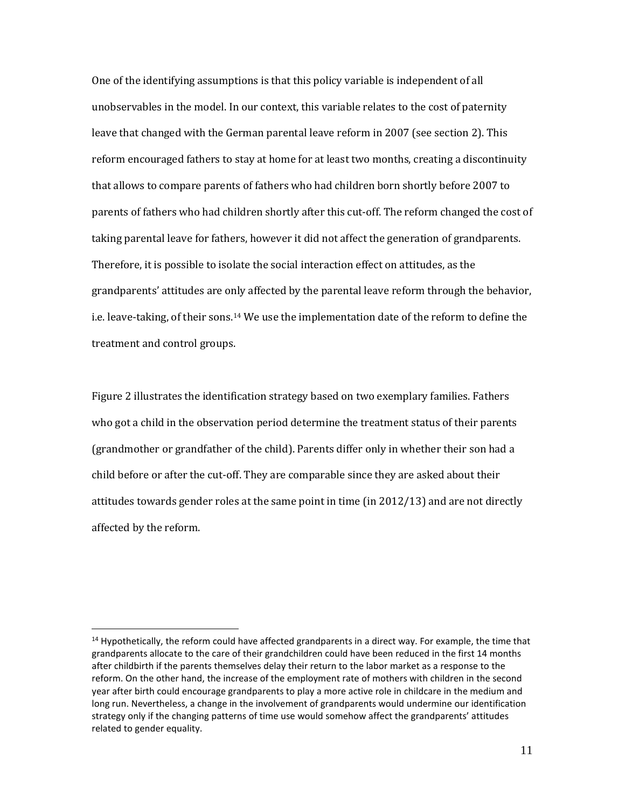One of the identifying assumptions is that this policy variable is independent of all unobservables in the model. In our context, this variable relates to the cost of paternity leave that changed with the German parental leave reform in 2007 (see section 2). This reform encouraged fathers to stay at home for at least two months, creating a discontinuity that allows to compare parents of fathers who had children born shortly before 2007 to parents of fathers who had children shortly after this cut-off. The reform changed the cost of taking parental leave for fathers, however it did not affect the generation of grandparents. Therefore, it is possible to isolate the social interaction effect on attitudes, as the grandparents' attitudes are only affected by the parental leave reform through the behavior, i.e. leave-taking, of their sons.[14](#page-12-0) We use the implementation date of the reform to define the treatment and control groups.

Figure 2 illustrates the identification strategy based on two exemplary families. Fathers who got a child in the observation period determine the treatment status of their parents (grandmother or grandfather of the child). Parents differ only in whether their son had a child before or after the cut-off. They are comparable since they are asked about their attitudes towards gender roles at the same point in time (in 2012/13) and are not directly affected by the reform.

<span id="page-12-0"></span> $14$  Hypothetically, the reform could have affected grandparents in a direct way. For example, the time that grandparents allocate to the care of their grandchildren could have been reduced in the first 14 months after childbirth if the parents themselves delay their return to the labor market as a response to the reform. On the other hand, the increase of the employment rate of mothers with children in the second year after birth could encourage grandparents to play a more active role in childcare in the medium and long run. Nevertheless, a change in the involvement of grandparents would undermine our identification strategy only if the changing patterns of time use would somehow affect the grandparents' attitudes related to gender equality.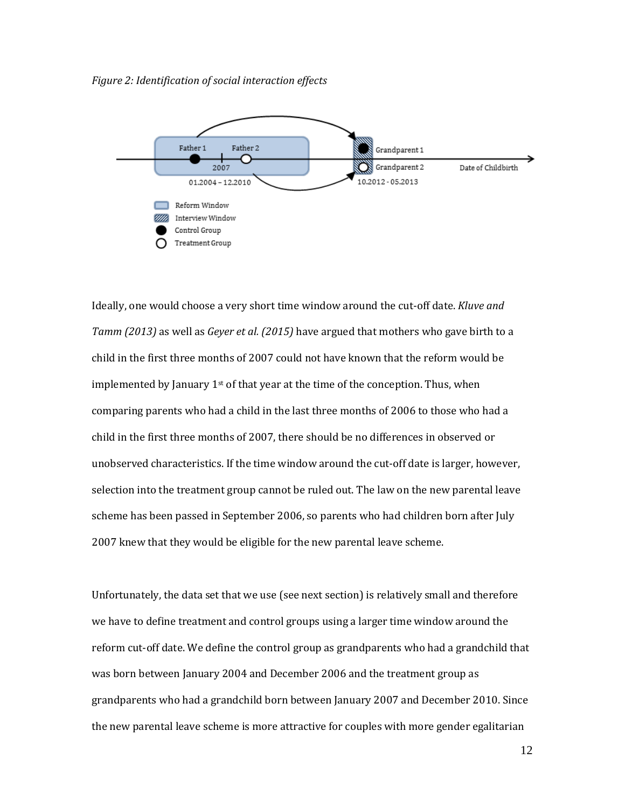*Figure 2: Identification of social interaction effects*



Ideally, one would choose a very short time window around the cut-off date. *Kluve and Tamm (2013)* as well as *Geyer et al. (2015)* have argued that mothers who gave birth to a child in the first three months of 2007 could not have known that the reform would be implemented by January  $1<sup>st</sup>$  of that year at the time of the conception. Thus, when comparing parents who had a child in the last three months of 2006 to those who had a child in the first three months of 2007, there should be no differences in observed or unobserved characteristics. If the time window around the cut-off date is larger, however, selection into the treatment group cannot be ruled out. The law on the new parental leave scheme has been passed in September 2006, so parents who had children born after July 2007 knew that they would be eligible for the new parental leave scheme.

Unfortunately, the data set that we use (see next section) is relatively small and therefore we have to define treatment and control groups using a larger time window around the reform cut-off date. We define the control group as grandparents who had a grandchild that was born between January 2004 and December 2006 and the treatment group as grandparents who had a grandchild born between January 2007 and December 2010. Since the new parental leave scheme is more attractive for couples with more gender egalitarian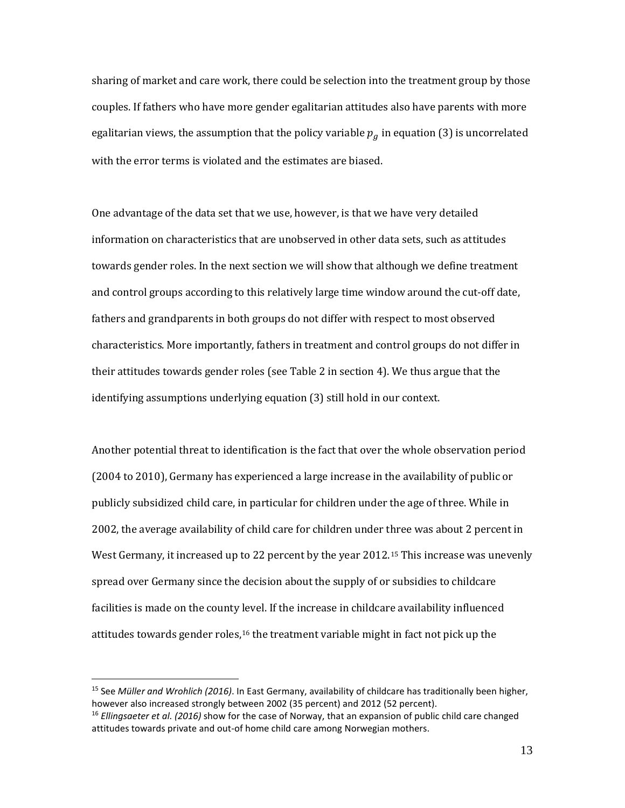sharing of market and care work, there could be selection into the treatment group by those couples. If fathers who have more gender egalitarian attitudes also have parents with more egalitarian views, the assumption that the policy variable  $p<sub>g</sub>$  in equation (3) is uncorrelated with the error terms is violated and the estimates are biased.

One advantage of the data set that we use, however, is that we have very detailed information on characteristics that are unobserved in other data sets, such as attitudes towards gender roles. In the next section we will show that although we define treatment and control groups according to this relatively large time window around the cut-off date, fathers and grandparents in both groups do not differ with respect to most observed characteristics. More importantly, fathers in treatment and control groups do not differ in their attitudes towards gender roles (see Table 2 in section 4). We thus argue that the identifying assumptions underlying equation (3) still hold in our context.

Another potential threat to identification is the fact that over the whole observation period (2004 to 2010), Germany has experienced a large increase in the availability of public or publicly subsidized child care, in particular for children under the age of three. While in 2002, the average availability of child care for children under three was about 2 percent in West Germany, it increased up to 22 percent by the year 2012.[15](#page-14-0) This increase was unevenly spread over Germany since the decision about the supply of or subsidies to childcare facilities is made on the county level. If the increase in childcare availability influenced attitudes towards gender roles,<sup>[16](#page-14-1)</sup> the treatment variable might in fact not pick up the

<span id="page-14-0"></span><sup>15</sup> See *Müller and Wrohlich (2016)*. In East Germany, availability of childcare has traditionally been higher, however also increased strongly between 2002 (35 percent) and 2012 (52 percent).

<span id="page-14-1"></span><sup>16</sup> *Ellingsaeter et al. (2016)* show for the case of Norway, that an expansion of public child care changed attitudes towards private and out-of home child care among Norwegian mothers.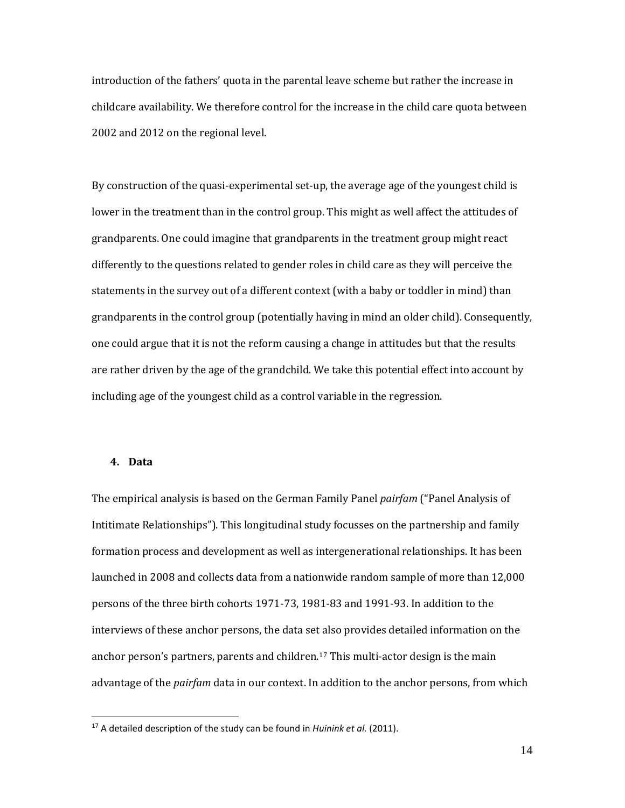introduction of the fathers' quota in the parental leave scheme but rather the increase in childcare availability. We therefore control for the increase in the child care quota between 2002 and 2012 on the regional level.

By construction of the quasi-experimental set-up, the average age of the youngest child is lower in the treatment than in the control group. This might as well affect the attitudes of grandparents. One could imagine that grandparents in the treatment group might react differently to the questions related to gender roles in child care as they will perceive the statements in the survey out of a different context (with a baby or toddler in mind) than grandparents in the control group (potentially having in mind an older child). Consequently, one could argue that it is not the reform causing a change in attitudes but that the results are rather driven by the age of the grandchild. We take this potential effect into account by including age of the youngest child as a control variable in the regression.

#### **4. Data**

 $\overline{a}$ 

The empirical analysis is based on the German Family Panel *pairfam* ("Panel Analysis of Intitimate Relationships"). This longitudinal study focusses on the partnership and family formation process and development as well as intergenerational relationships. It has been launched in 2008 and collects data from a nationwide random sample of more than 12,000 persons of the three birth cohorts 1971-73, 1981-83 and 1991-93. In addition to the interviews of these anchor persons, the data set also provides detailed information on the anchor person's partners, parents and children.[17](#page-15-0) This multi-actor design is the main advantage of the *pairfam* data in our context. In addition to the anchor persons, from which

14

<span id="page-15-0"></span><sup>17</sup> A detailed description of the study can be found in *Huinink et al.* (2011).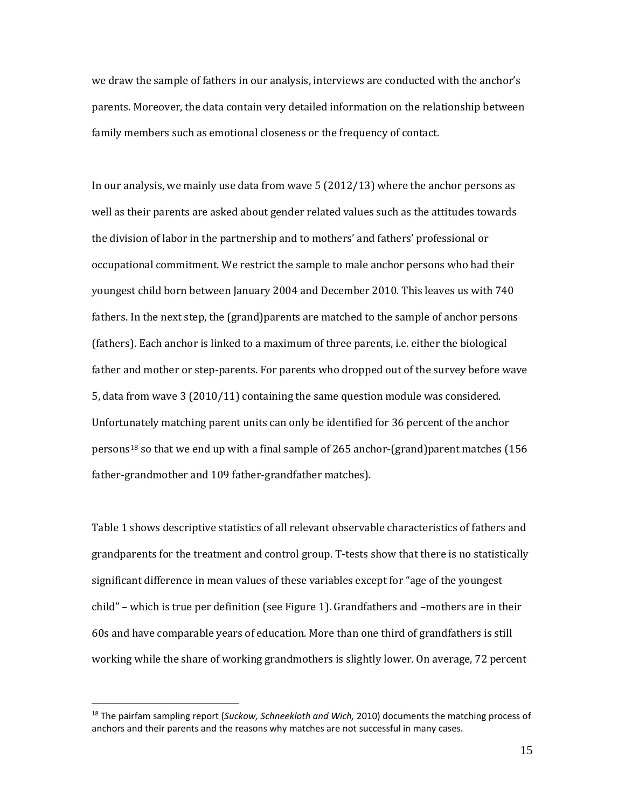we draw the sample of fathers in our analysis, interviews are conducted with the anchor's parents. Moreover, the data contain very detailed information on the relationship between family members such as emotional closeness or the frequency of contact.

In our analysis, we mainly use data from wave 5 (2012/13) where the anchor persons as well as their parents are asked about gender related values such as the attitudes towards the division of labor in the partnership and to mothers' and fathers' professional or occupational commitment. We restrict the sample to male anchor persons who had their youngest child born between January 2004 and December 2010. This leaves us with 740 fathers. In the next step, the (grand)parents are matched to the sample of anchor persons (fathers). Each anchor is linked to a maximum of three parents, i.e. either the biological father and mother or step-parents. For parents who dropped out of the survey before wave 5, data from wave 3 (2010/11) containing the same question module was considered. Unfortunately matching parent units can only be identified for 36 percent of the anchor persons<sup>[18](#page-16-0)</sup> so that we end up with a final sample of 265 anchor-(grand)parent matches (156 father-grandmother and 109 father-grandfather matches).

Table 1 shows descriptive statistics of all relevant observable characteristics of fathers and grandparents for the treatment and control group. T-tests show that there is no statistically significant difference in mean values of these variables except for "age of the youngest child" – which is true per definition (see Figure 1). Grandfathers and –mothers are in their 60s and have comparable years of education. More than one third of grandfathers is still working while the share of working grandmothers is slightly lower. On average, 72 percent

<span id="page-16-0"></span><sup>18</sup> The pairfam sampling report (*Suckow, Schneekloth and Wich,* 2010) documents the matching process of anchors and their parents and the reasons why matches are not successful in many cases.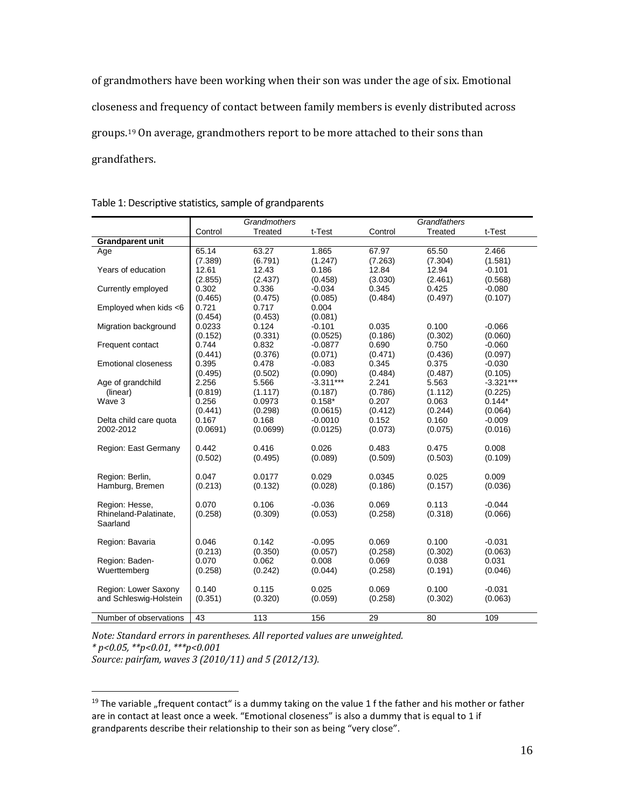of grandmothers have been working when their son was under the age of six. Emotional closeness and frequency of contact between family members is evenly distributed across groups.[19](#page-17-0) On average, grandmothers report to be more attached to their sons than grandfathers.

|                            | Grandmothers |                  |             |         | Grandfathers |                     |  |  |
|----------------------------|--------------|------------------|-------------|---------|--------------|---------------------|--|--|
|                            | Control      | Treated          | t-Test      | Control | Treated      | t-Test              |  |  |
| <b>Grandparent unit</b>    |              |                  |             |         |              |                     |  |  |
| Age                        | 65.14        | 63.27            | 1.865       | 67.97   | 65.50        | 2.466               |  |  |
|                            | (7.389)      | (6.791)          | (1.247)     | (7.263) | (7.304)      | (1.581)             |  |  |
| Years of education         | 12.61        | 12.43            | 0.186       | 12.84   | 12.94        | $-0.101$            |  |  |
|                            | (2.855)      | (2.437)          | (0.458)     | (3.030) | (2.461)      | (0.568)             |  |  |
| Currently employed         | 0.302        | 0.336            | $-0.034$    | 0.345   | 0.425        | $-0.080$            |  |  |
|                            | (0.465)      | (0.475)          | (0.085)     | (0.484) | (0.497)      | (0.107)             |  |  |
| Employed when kids <6      | 0.721        | 0.717            | 0.004       |         |              |                     |  |  |
|                            | (0.454)      | (0.453)          | (0.081)     |         |              |                     |  |  |
| Migration background       | 0.0233       | 0.124            | $-0.101$    | 0.035   | 0.100        | $-0.066$            |  |  |
|                            | (0.152)      | (0.331)          | (0.0525)    | (0.186) | (0.302)      | (0.060)             |  |  |
| Frequent contact           | 0.744        | 0.832            | $-0.0877$   | 0.690   | 0.750        | $-0.060$            |  |  |
|                            | (0.441)      | (0.376)          | (0.071)     | (0.471) | (0.436)      | (0.097)             |  |  |
| <b>Emotional closeness</b> | 0.395        | 0.478            | $-0.083$    | 0.345   | 0.375        | $-0.030$            |  |  |
|                            | (0.495)      | (0.502)          | (0.090)     | (0.484) | (0.487)      | (0.105)             |  |  |
| Age of grandchild          | 2.256        | 5.566            | $-3.311***$ | 2.241   | 5.563        | $-3.321***$         |  |  |
| (linear)                   | (0.819)      | (1.117)          | (0.187)     | (0.786) | (1.112)      | (0.225)             |  |  |
| Wave 3                     | 0.256        | 0.0973           | $0.158*$    | 0.207   | 0.063        | $0.144*$            |  |  |
|                            | (0.441)      | (0.298)          | (0.0615)    | (0.412) | (0.244)      | (0.064)             |  |  |
| Delta child care quota     | 0.167        | 0.168            | $-0.0010$   | 0.152   | 0.160        | $-0.009$            |  |  |
| 2002-2012                  | (0.0691)     | (0.0699)         | (0.0125)    | (0.073) | (0.075)      | (0.016)             |  |  |
|                            |              |                  |             |         |              |                     |  |  |
| Region: East Germany       | 0.442        | 0.416            | 0.026       | 0.483   | 0.475        | 0.008               |  |  |
|                            | (0.502)      | (0.495)          | (0.089)     | (0.509) | (0.503)      | (0.109)             |  |  |
|                            |              |                  |             |         |              |                     |  |  |
| Region: Berlin,            | 0.047        | 0.0177           | 0.029       | 0.0345  | 0.025        | 0.009               |  |  |
| Hamburg, Bremen            | (0.213)      | (0.132)          | (0.028)     | (0.186) | (0.157)      | (0.036)             |  |  |
|                            |              |                  |             |         |              |                     |  |  |
| Region: Hesse,             | 0.070        | 0.106            | $-0.036$    | 0.069   | 0.113        | $-0.044$            |  |  |
| Rhineland-Palatinate,      | (0.258)      | (0.309)          | (0.053)     | (0.258) | (0.318)      | (0.066)             |  |  |
| Saarland                   |              |                  |             |         |              |                     |  |  |
|                            | 0.046        | 0.142            | $-0.095$    | 0.069   | 0.100        |                     |  |  |
| Region: Bavaria            | (0.213)      | (0.350)          | (0.057)     | (0.258) | (0.302)      | $-0.031$<br>(0.063) |  |  |
| Region: Baden-             | 0.070        | 0.062            | 0.008       | 0.069   | 0.038        | 0.031               |  |  |
| Wuerttemberg               | (0.258)      |                  |             |         | (0.191)      | (0.046)             |  |  |
|                            |              | (0.242)          | (0.044)     | (0.258) |              |                     |  |  |
| Region: Lower Saxony       | 0.140        | 0.115            | 0.025       | 0.069   | 0.100        | $-0.031$            |  |  |
| and Schleswig-Holstein     | (0.351)      | (0.320)          | (0.059)     | (0.258) | (0.302)      | (0.063)             |  |  |
|                            |              |                  |             |         |              |                     |  |  |
| Number of observations     | 43           | $\overline{113}$ | 156         | 29      | 80           | 109                 |  |  |

*Note: Standard errors in parentheses. All reported values are unweighted. \* p<0.05, \*\*p<0.01, \*\*\*p<0.001 Source: pairfam, waves 3 (2010/11) and 5 (2012/13).*

<span id="page-17-0"></span> $19$  The variable "frequent contact" is a dummy taking on the value 1 f the father and his mother or father are in contact at least once a week. "Emotional closeness" is also a dummy that is equal to 1 if grandparents describe their relationship to their son as being "very close".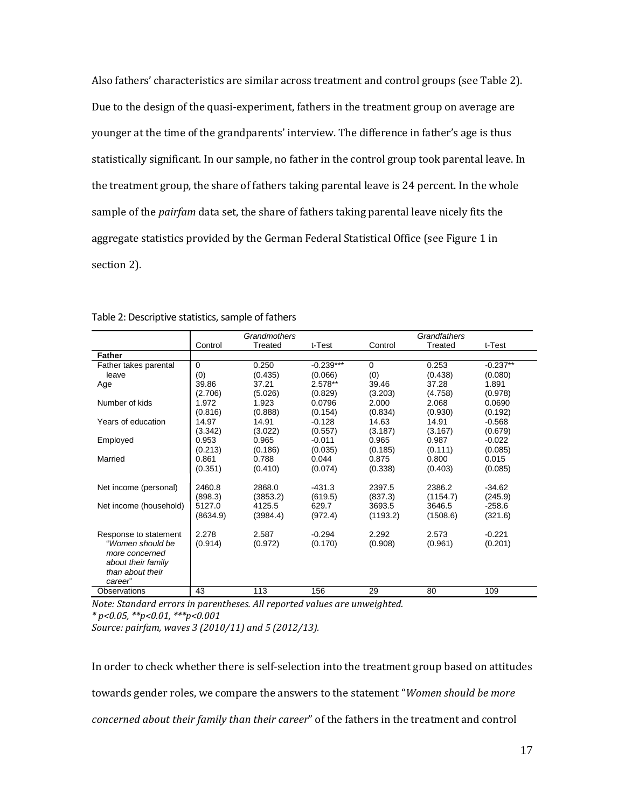Also fathers' characteristics are similar across treatment and control groups (see Table 2). Due to the design of the quasi-experiment, fathers in the treatment group on average are younger at the time of the grandparents' interview. The difference in father's age is thus statistically significant. In our sample, no father in the control group took parental leave. In the treatment group, the share of fathers taking parental leave is 24 percent. In the whole sample of the *pairfam* data set, the share of fathers taking parental leave nicely fits the aggregate statistics provided by the German Federal Statistical Office (see Figure 1 in section 2).

|                                           | Grandmothers |          |             | Grandfathers |          |            |
|-------------------------------------------|--------------|----------|-------------|--------------|----------|------------|
|                                           | Control      | Treated  | t-Test      | Control      | Treated  | t-Test     |
| <b>Father</b>                             |              |          |             |              |          |            |
| Father takes parental                     | $\Omega$     | 0.250    | $-0.239***$ | $\Omega$     | 0.253    | $-0.237**$ |
| leave                                     | (0)          | (0.435)  | (0.066)     | (0)          | (0.438)  | (0.080)    |
| Age                                       | 39.86        | 37.21    | 2.578**     | 39.46        | 37.28    | 1.891      |
|                                           | (2.706)      | (5.026)  | (0.829)     | (3.203)      | (4.758)  | (0.978)    |
| Number of kids                            | 1.972        | 1.923    | 0.0796      | 2.000        | 2.068    | 0.0690     |
|                                           | (0.816)      | (0.888)  | (0.154)     | (0.834)      | (0.930)  | (0.192)    |
| Years of education                        | 14.97        | 14.91    | $-0.128$    | 14.63        | 14.91    | $-0.568$   |
|                                           | (3.342)      | (3.022)  | (0.557)     | (3.187)      | (3.167)  | (0.679)    |
| Employed                                  | 0.953        | 0.965    | $-0.011$    | 0.965        | 0.987    | $-0.022$   |
|                                           | (0.213)      | (0.186)  | (0.035)     | (0.185)      | (0.111)  | (0.085)    |
| Married                                   | 0.861        | 0.788    | 0.044       | 0.875        | 0.800    | 0.015      |
|                                           | (0.351)      | (0.410)  | (0.074)     | (0.338)      | (0.403)  | (0.085)    |
|                                           |              |          |             |              |          |            |
| Net income (personal)                     | 2460.8       | 2868.0   | $-431.3$    | 2397.5       | 2386.2   | $-34.62$   |
|                                           | (898.3)      | (3853.2) | (619.5)     | (837.3)      | (1154.7) | (245.9)    |
| Net income (household)                    | 5127.0       | 4125.5   | 629.7       | 3693.5       | 3646.5   | $-258.6$   |
|                                           | (8634.9)     | (3984.4) | (972.4)     | (1193.2)     | (1508.6) | (321.6)    |
|                                           | 2.278        | 2.587    | $-0.294$    | 2.292        | 2.573    | $-0.221$   |
| Response to statement<br>"Women should be |              |          |             |              |          |            |
| more concerned                            | (0.914)      | (0.972)  | (0.170)     | (0.908)      | (0.961)  | (0.201)    |
| about their family                        |              |          |             |              |          |            |
| than about their                          |              |          |             |              |          |            |
| career"                                   |              |          |             |              |          |            |
| Observations                              | 43           | 113      | 156         | 29           | 80       | 109        |
|                                           |              |          |             |              |          |            |

Table 2: Descriptive statistics, sample of fathers

*Note: Standard errors in parentheses. All reported values are unweighted. \* p<0.05, \*\*p<0.01, \*\*\*p<0.001*

*Source: pairfam, waves 3 (2010/11) and 5 (2012/13).*

In order to check whether there is self-selection into the treatment group based on attitudes towards gender roles, we compare the answers to the statement "*Women should be more concerned about their family than their career*" of the fathers in the treatment and control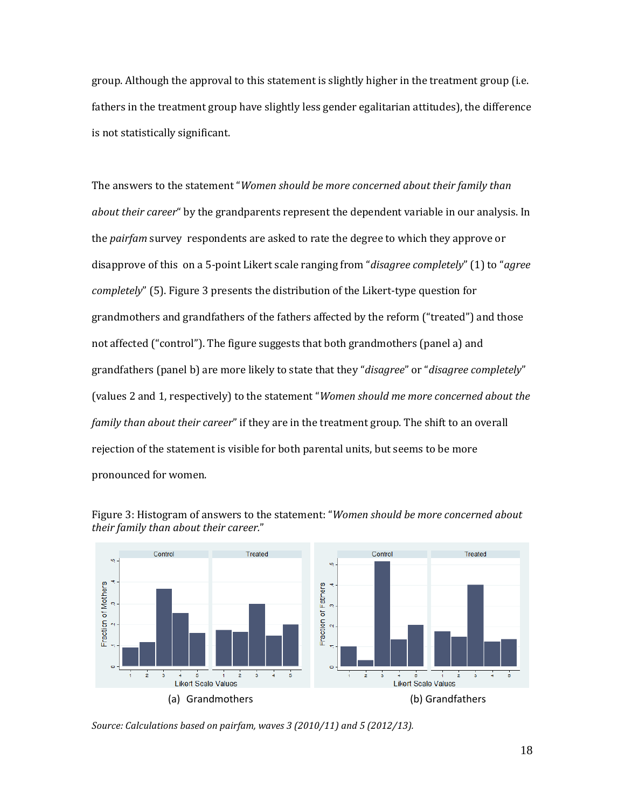group. Although the approval to this statement is slightly higher in the treatment group (i.e. fathers in the treatment group have slightly less gender egalitarian attitudes), the difference is not statistically significant.

The answers to the statement "*Women should be more concerned about their family than about their career*" by the grandparents represent the dependent variable in our analysis. In the *pairfam* survey respondents are asked to rate the degree to which they approve or disapprove of this on a 5-point Likert scale ranging from "*disagree completely*" (1) to "*agree completely*" (5). Figure 3 presents the distribution of the Likert-type question for grandmothers and grandfathers of the fathers affected by the reform ("treated") and those not affected ("control"). The figure suggests that both grandmothers (panel a) and grandfathers (panel b) are more likely to state that they "*disagree*" or "*disagree completely*" (values 2 and 1, respectively) to the statement "*Women should me more concerned about the family than about their career*" if they are in the treatment group. The shift to an overall rejection of the statement is visible for both parental units, but seems to be more pronounced for women.



Figure 3: Histogram of answers to the statement: "*Women should be more concerned about their family than about their career.*"

*Source: Calculations based on pairfam, waves 3 (2010/11) and 5 (2012/13).*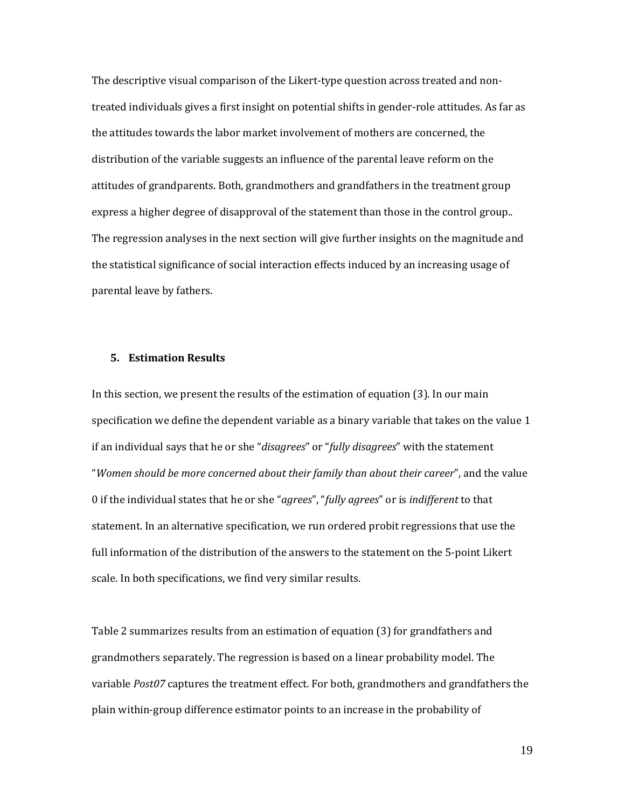The descriptive visual comparison of the Likert-type question across treated and nontreated individuals gives a first insight on potential shifts in gender-role attitudes. As far as the attitudes towards the labor market involvement of mothers are concerned, the distribution of the variable suggests an influence of the parental leave reform on the attitudes of grandparents. Both, grandmothers and grandfathers in the treatment group express a higher degree of disapproval of the statement than those in the control group.. The regression analyses in the next section will give further insights on the magnitude and the statistical significance of social interaction effects induced by an increasing usage of parental leave by fathers.

#### **5. Estimation Results**

In this section, we present the results of the estimation of equation (3). In our main specification we define the dependent variable as a binary variable that takes on the value 1 if an individual says that he or she "*disagrees*" or "*fully disagrees*" with the statement "*Women should be more concerned about their family than about their career*", and the value 0 if the individual states that he or she "*agrees*", "*fully agrees*" or is *indifferent* to that statement. In an alternative specification, we run ordered probit regressions that use the full information of the distribution of the answers to the statement on the 5-point Likert scale. In both specifications, we find very similar results.

Table 2 summarizes results from an estimation of equation (3) for grandfathers and grandmothers separately. The regression is based on a linear probability model. The variable *Post07* captures the treatment effect. For both, grandmothers and grandfathers the plain within-group difference estimator points to an increase in the probability of

19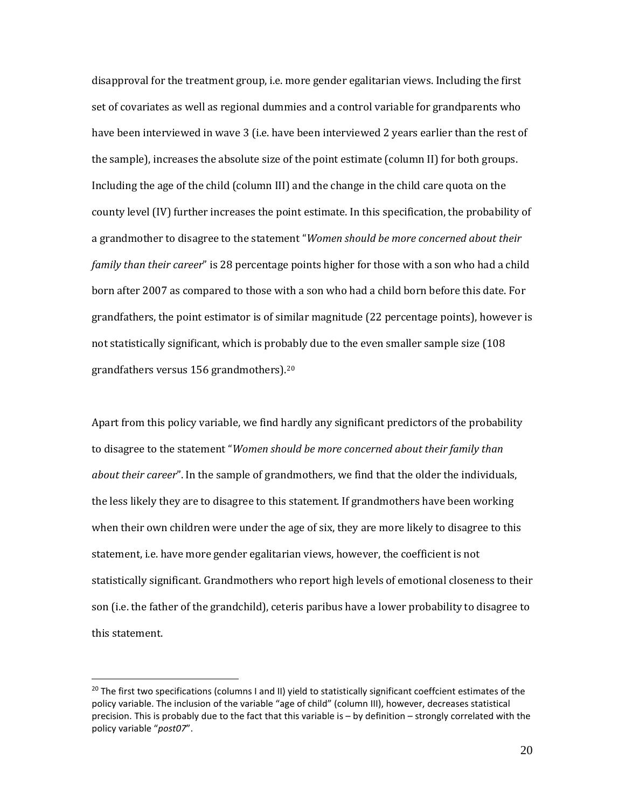disapproval for the treatment group, i.e. more gender egalitarian views. Including the first set of covariates as well as regional dummies and a control variable for grandparents who have been interviewed in wave 3 (i.e. have been interviewed 2 years earlier than the rest of the sample), increases the absolute size of the point estimate (column II) for both groups. Including the age of the child (column III) and the change in the child care quota on the county level (IV) further increases the point estimate. In this specification, the probability of a grandmother to disagree to the statement "*Women should be more concerned about their family than their career*" is 28 percentage points higher for those with a son who had a child born after 2007 as compared to those with a son who had a child born before this date. For grandfathers, the point estimator is of similar magnitude (22 percentage points), however is not statistically significant, which is probably due to the even smaller sample size (108 grandfathers versus 156 grandmothers).[20](#page-21-0)

Apart from this policy variable, we find hardly any significant predictors of the probability to disagree to the statement "*Women should be more concerned about their family than about their career*". In the sample of grandmothers, we find that the older the individuals, the less likely they are to disagree to this statement. If grandmothers have been working when their own children were under the age of six, they are more likely to disagree to this statement, i.e. have more gender egalitarian views, however, the coefficient is not statistically significant. Grandmothers who report high levels of emotional closeness to their son (i.e. the father of the grandchild), ceteris paribus have a lower probability to disagree to this statement.

<span id="page-21-0"></span><sup>&</sup>lt;sup>20</sup> The first two specifications (columns I and II) yield to statistically significant coeffcient estimates of the policy variable. The inclusion of the variable "age of child" (column III), however, decreases statistical precision. This is probably due to the fact that this variable is – by definition – strongly correlated with the policy variable "*post07*".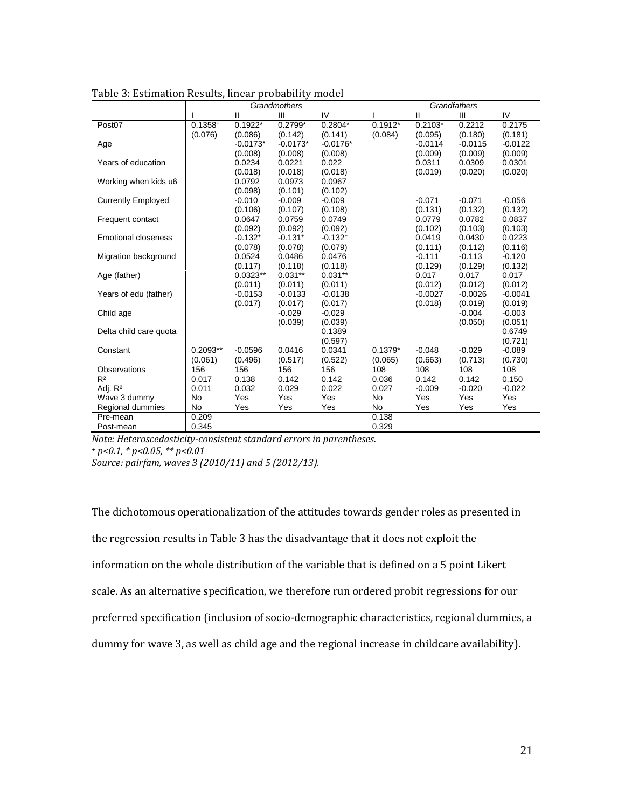|                            | Grandmothers |              |                       |              | Grandfathers |           |           |           |
|----------------------------|--------------|--------------|-----------------------|--------------|--------------|-----------|-----------|-----------|
|                            |              | $\mathbf{H}$ | Ш                     | IV           |              | Ш         | III       | IV        |
| Post07                     | $0.1358^{+}$ | $0.1922*$    | $0.2799*$             | $0.2804*$    | $0.1912*$    | $0.2103*$ | 0.2212    | 0.2175    |
|                            | (0.076)      | (0.086)      | (0.142)               | (0.141)      | (0.084)      | (0.095)   | (0.180)   | (0.181)   |
| Age                        |              | $-0.0173*$   | $-0.0173*$            | $-0.0176*$   |              | $-0.0114$ | $-0.0115$ | $-0.0122$ |
|                            |              | (0.008)      | (0.008)               | (0.008)      |              | (0.009)   | (0.009)   | (0.009)   |
| Years of education         |              | 0.0234       | 0.0221                | 0.022        |              | 0.0311    | 0.0309    | 0.0301    |
|                            |              | (0.018)      | (0.018)               | (0.018)      |              | (0.019)   | (0.020)   | (0.020)   |
| Working when kids u6       |              | 0.0792       | 0.0973                | 0.0967       |              |           |           |           |
|                            |              | (0.098)      | (0.101)               | (0.102)      |              |           |           |           |
| <b>Currently Employed</b>  |              | $-0.010$     | $-0.009$              | $-0.009$     |              | $-0.071$  | $-0.071$  | $-0.056$  |
|                            |              | (0.106)      | (0.107)               | (0.108)      |              | (0.131)   | (0.132)   | (0.132)   |
| Frequent contact           |              | 0.0647       | 0.0759                | 0.0749       |              | 0.0779    | 0.0782    | 0.0837    |
|                            |              | (0.092)      | (0.092)               | (0.092)      |              | (0.102)   | (0.103)   | (0.103)   |
| <b>Emotional closeness</b> |              | $-0.132^{+}$ | $-0.131$ <sup>+</sup> | $-0.132^{+}$ |              | 0.0419    | 0.0430    | 0.0223    |
|                            |              | (0.078)      | (0.078)               | (0.079)      |              | (0.111)   | (0.112)   | (0.116)   |
| Migration background       |              | 0.0524       | 0.0486                | 0.0476       |              | $-0.111$  | $-0.113$  | $-0.120$  |
|                            |              | (0.117)      | (0.118)               | (0.118)      |              | (0.129)   | (0.129)   | (0.132)   |
| Age (father)               |              | $0.0323**$   | $0.031**$             | $0.031**$    |              | 0.017     | 0.017     | 0.017     |
|                            |              | (0.011)      | (0.011)               | (0.011)      |              | (0.012)   | (0.012)   | (0.012)   |
| Years of edu (father)      |              | $-0.0153$    | $-0.0133$             | $-0.0138$    |              | $-0.0027$ | $-0.0026$ | $-0.0041$ |
|                            |              | (0.017)      | (0.017)               | (0.017)      |              | (0.018)   | (0.019)   | (0.019)   |
| Child age                  |              |              | $-0.029$              | $-0.029$     |              |           | $-0.004$  | $-0.003$  |
|                            |              |              | (0.039)               | (0.039)      |              |           | (0.050)   | (0.051)   |
| Delta child care quota     |              |              |                       | 0.1389       |              |           |           | 0.6749    |
|                            |              |              |                       | (0.597)      |              |           |           | (0.721)   |
| Constant                   | $0.2093**$   | $-0.0596$    | 0.0416                | 0.0341       | $0.1379*$    | $-0.048$  | $-0.029$  | $-0.089$  |
|                            | (0.061)      | (0.496)      | (0.517)               | (0.522)      | (0.065)      | (0.663)   | (0.713)   | (0.730)   |
| Observations               | 156          | 156          | 156                   | 156          | 108          | 108       | 108       | 108       |
| R <sup>2</sup>             | 0.017        | 0.138        | 0.142                 | 0.142        | 0.036        | 0.142     | 0.142     | 0.150     |
| Adj. R <sup>2</sup>        | 0.011        | 0.032        | 0.029                 | 0.022        | 0.027        | $-0.009$  | $-0.020$  | $-0.022$  |
| Wave 3 dummy               | <b>No</b>    | Yes          | Yes                   | Yes          | No           | Yes       | Yes       | Yes       |
| Regional dummies           | <b>No</b>    | Yes          | Yes                   | Yes          | <b>No</b>    | Yes       | Yes       | Yes       |
| Pre-mean                   | 0.209        |              |                       |              | 0.138        |           |           |           |
| Post-mean                  | 0.345        |              |                       |              | 0.329        |           |           |           |

| Table 3: Estimation Results, linear probability model |  |  |
|-------------------------------------------------------|--|--|
|                                                       |  |  |

*Note: Heteroscedasticity-consistent standard errors in parentheses. + p<0.1, \* p<0.05, \*\* p<0.01*

*Source: pairfam, waves 3 (2010/11) and 5 (2012/13).*

The dichotomous operationalization of the attitudes towards gender roles as presented in the regression results in Table 3 has the disadvantage that it does not exploit the information on the whole distribution of the variable that is defined on a 5 point Likert scale. As an alternative specification, we therefore run ordered probit regressions for our preferred specification (inclusion of socio-demographic characteristics, regional dummies, a dummy for wave 3, as well as child age and the regional increase in childcare availability).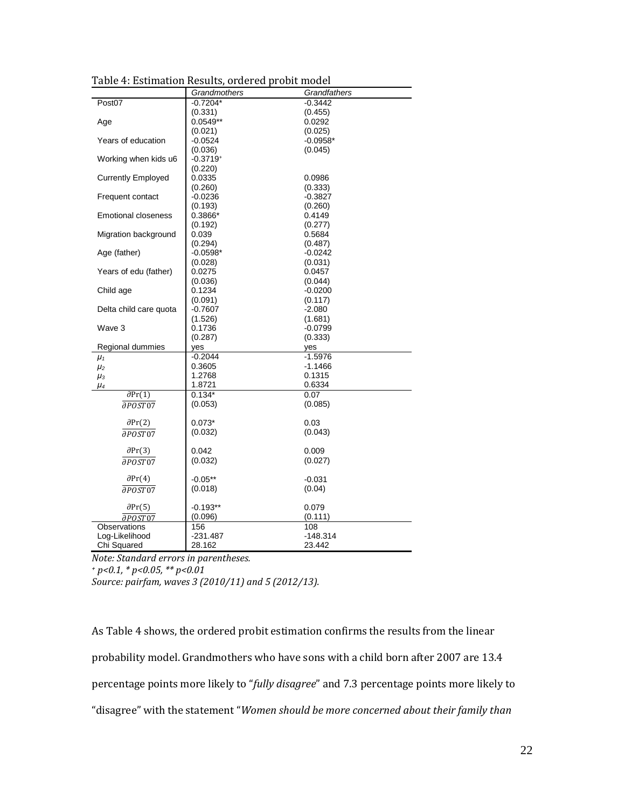|                              | Grandmothers         | Grandfathers         |  |
|------------------------------|----------------------|----------------------|--|
| Post07                       | $-0.7204*$           | $-0.3442$            |  |
|                              | (0.331)              | (0.455)              |  |
| Age                          | $0.0549**$           | 0.0292               |  |
|                              | (0.021)              | (0.025)              |  |
| Years of education           | $-0.0524$            | $-0.0958*$           |  |
|                              | (0.036)              | (0.045)              |  |
| Working when kids u6         | $-0.3719+$           |                      |  |
|                              | (0.220)              |                      |  |
| <b>Currently Employed</b>    | 0.0335               | 0.0986               |  |
|                              | (0.260)              | (0.333)              |  |
| Frequent contact             | $-0.0236$            | $-0.3827$            |  |
|                              | (0.193)              | (0.260)              |  |
| <b>Emotional closeness</b>   | 0.3866*              | 0.4149               |  |
|                              | (0.192)              | (0.277)              |  |
| Migration background         | 0.039                | 0.5684               |  |
|                              | (0.294)              | (0.487)              |  |
| Age (father)                 | $-0.0598*$           | $-0.0242$            |  |
|                              | (0.028)              | (0.031)              |  |
| Years of edu (father)        | 0.0275               | 0.0457               |  |
|                              | (0.036)              | (0.044)              |  |
| Child age                    | 0.1234               | $-0.0200$            |  |
|                              | (0.091)              | (0.117)              |  |
| Delta child care quota       | $-0.7607$<br>(1.526) | $-2.080$             |  |
| Wave 3                       | 0.1736               | (1.681)<br>$-0.0799$ |  |
|                              | (0.287)              | (0.333)              |  |
| Regional dummies             | yes                  | yes                  |  |
| $\mu_1$                      | $-0.2044$            | $-1.5976$            |  |
| $\mu_2$                      | 0.3605               | $-1.1466$            |  |
| $\mu_3$                      | 1.2768               | 0.1315               |  |
| μ4                           | 1.8721               | 0.6334               |  |
| $\partial Pr(1)$             | $0.134*$             | 0.07                 |  |
| aposto7                      | (0.053)              | (0.085)              |  |
|                              |                      |                      |  |
| $\partial Pr(2)$             | $0.073*$             | 0.03                 |  |
| $\overline{\partial POST07}$ | (0.032)              | (0.043)              |  |
|                              |                      |                      |  |
| $\partial Pr(3)$             | 0.042                | 0.009                |  |
| aposto7                      | (0.032)              | (0.027)              |  |
|                              |                      |                      |  |
| $\partial Pr(4)$             | $-0.05**$            | $-0.031$             |  |
| $\overline{\partial POST07}$ | (0.018)              | (0.04)               |  |
|                              |                      |                      |  |
| $\partial Pr(5)$             | $-0.193**$           | 0.079                |  |
| $\partial$ <i>POST</i> 07    | (0.096)              | (0.111)              |  |
| Observations                 | 156                  | 108                  |  |
| Log-Likelihood               | $-231.487$           | $-148.314$           |  |
| Chi Squared                  | 28.162               | 23.442               |  |

Table 4: Estimation Results, ordered probit model

*Note: Standard errors in parentheses. + p<0.1, \* p<0.05, \*\* p<0.01*

*Source: pairfam, waves 3 (2010/11) and 5 (2012/13).*

As Table 4 shows, the ordered probit estimation confirms the results from the linear probability model. Grandmothers who have sons with a child born after 2007 are 13.4 percentage points more likely to "*fully disagree*" and 7.3 percentage points more likely to "disagree" with the statement "*Women should be more concerned about their family than*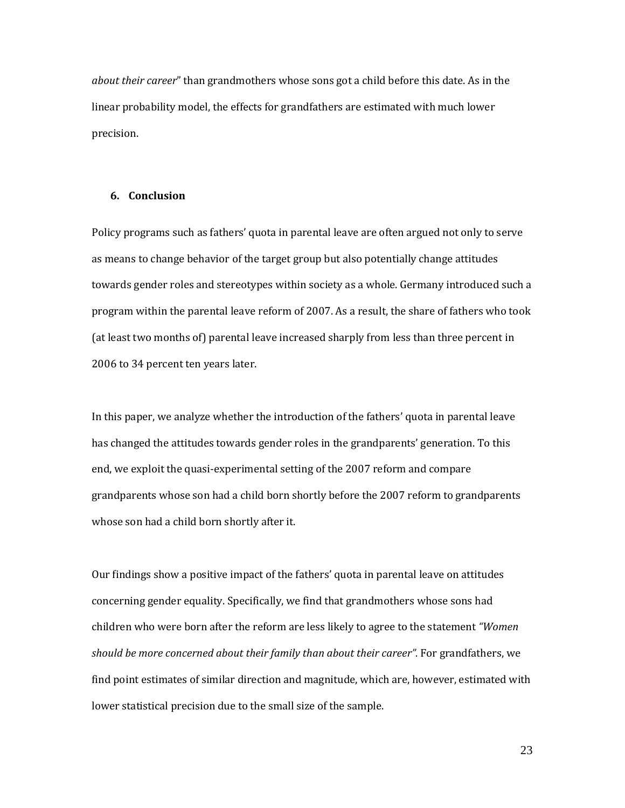*about their career*" than grandmothers whose sons got a child before this date. As in the linear probability model, the effects for grandfathers are estimated with much lower precision.

#### **6. Conclusion**

Policy programs such as fathers' quota in parental leave are often argued not only to serve as means to change behavior of the target group but also potentially change attitudes towards gender roles and stereotypes within society as a whole. Germany introduced such a program within the parental leave reform of 2007. As a result, the share of fathers who took (at least two months of) parental leave increased sharply from less than three percent in 2006 to 34 percent ten years later.

In this paper, we analyze whether the introduction of the fathers' quota in parental leave has changed the attitudes towards gender roles in the grandparents' generation. To this end, we exploit the quasi-experimental setting of the 2007 reform and compare grandparents whose son had a child born shortly before the 2007 reform to grandparents whose son had a child born shortly after it.

Our findings show a positive impact of the fathers' quota in parental leave on attitudes concerning gender equality. Specifically, we find that grandmothers whose sons had children who were born after the reform are less likely to agree to the statement *"Women should be more concerned about their family than about their career".* For grandfathers, we find point estimates of similar direction and magnitude, which are, however, estimated with lower statistical precision due to the small size of the sample.

23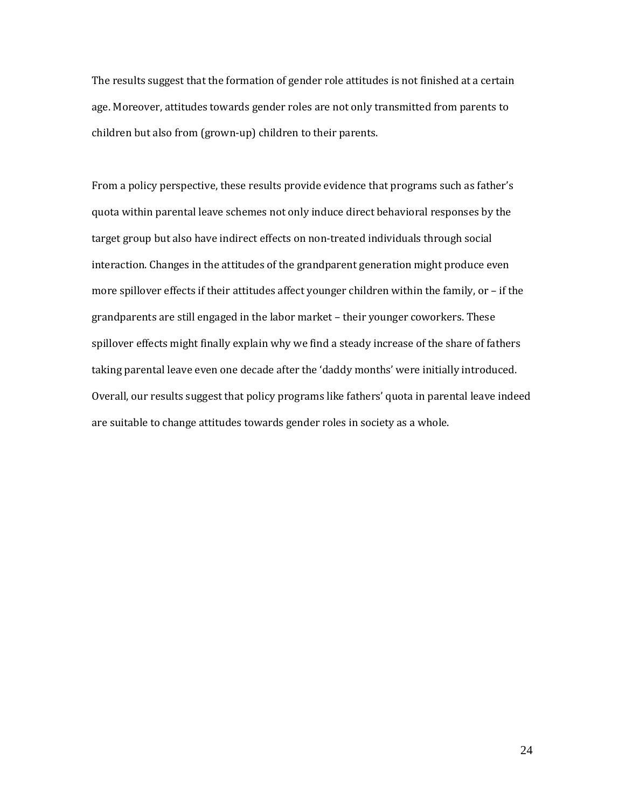The results suggest that the formation of gender role attitudes is not finished at a certain age. Moreover, attitudes towards gender roles are not only transmitted from parents to children but also from (grown-up) children to their parents.

From a policy perspective, these results provide evidence that programs such as father's quota within parental leave schemes not only induce direct behavioral responses by the target group but also have indirect effects on non-treated individuals through social interaction. Changes in the attitudes of the grandparent generation might produce even more spillover effects if their attitudes affect younger children within the family, or – if the grandparents are still engaged in the labor market – their younger coworkers. These spillover effects might finally explain why we find a steady increase of the share of fathers taking parental leave even one decade after the 'daddy months' were initially introduced. Overall, our results suggest that policy programs like fathers' quota in parental leave indeed are suitable to change attitudes towards gender roles in society as a whole.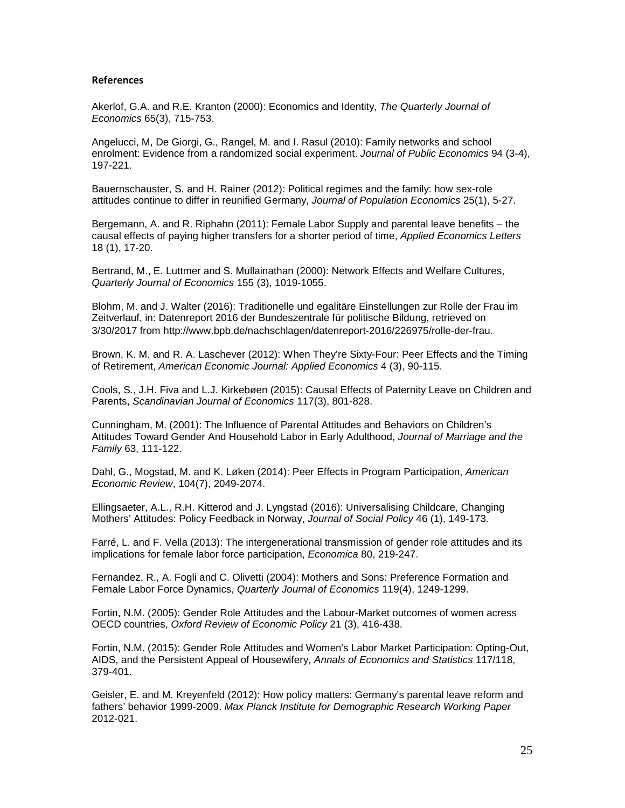#### **References**

Akerlof, G.A. and R.E. Kranton (2000): Economics and Identity, *The Quarterly Journal of Economics* 65(3), 715-753.

Angelucci, M, De Giorgi, G., Rangel, M. and I. Rasul (2010): Family networks and school enrolment: Evidence from a randomized social experiment. *Journal of Public Economics* 94 (3-4), 197-221.

Bauernschauster, S. and H. Rainer (2012): Political regimes and the family: how sex-role attitudes continue to differ in reunified Germany, *Journal of Population Economics* 25(1), 5-27.

Bergemann, A. and R. Riphahn (2011): Female Labor Supply and parental leave benefits – the causal effects of paying higher transfers for a shorter period of time, *Applied Economics Letters* 18 (1), 17-20.

Bertrand, M., E. Luttmer and S. Mullainathan (2000): Network Effects and Welfare Cultures, *Quarterly Journal of Economics* 155 (3), 1019-1055.

Blohm, M. and J. Walter (2016): Traditionelle und egalitäre Einstellungen zur Rolle der Frau im Zeitverlauf, in: Datenreport 2016 der Bundeszentrale für politische Bildung, retrieved on 3/30/2017 from http://www.bpb.de/nachschlagen/datenreport-2016/226975/rolle-der-frau.

Brown, K. M. and R. A. Laschever (2012): When They're Sixty-Four: Peer Effects and the Timing of Retirement, *American Economic Journal: Applied Economics* 4 (3), 90-115.

Cools, S., J.H. Fiva and L.J. Kirkebøen (2015): Causal Effects of Paternity Leave on Children and Parents, *Scandinavian Journal of Economics* 117(3), 801-828.

Cunningham, M. (2001): The Influence of Parental Attitudes and Behaviors on Children's Attitudes Toward Gender And Household Labor in Early Adulthood, *Journal of Marriage and the Family* 63, 111-122.

Dahl, G., Mogstad, M. and K. Løken (2014): Peer Effects in Program Participation, *American Economic Review*, 104(7), 2049-2074.

Ellingsaeter, A.L., R.H. Kitterod and J. Lyngstad (2016): Universalising Childcare, Changing Mothers' Attitudes: Policy Feedback in Norway, *Journal of Social Policy* 46 (1), 149-173.

Farré, L. and F. Vella (2013): The intergenerational transmission of gender role attitudes and its implications for female labor force participation, *Economica* 80, 219-247.

Fernandez, R., A. Fogli and C. Olivetti (2004): Mothers and Sons: Preference Formation and Female Labor Force Dynamics, *Quarterly Journal of Economics* 119(4), 1249-1299.

Fortin, N.M. (2005): Gender Role Attitudes and the Labour-Market outcomes of women acress OECD countries, *Oxford Review of Economic Policy* 21 (3), 416-438.

Fortin, N.M. (2015): Gender Role Attitudes and Women's Labor Market Participation: Opting-Out, AIDS, and the Persistent Appeal of Housewifery, *Annals of Economics and Statistics* 117/118, 379-401.

Geisler, E. and M. Kreyenfeld (2012): How policy matters: Germany's parental leave reform and fathers' behavior 1999-2009. *Max Planck Institute for Demographic Research Working Paper* 2012-021.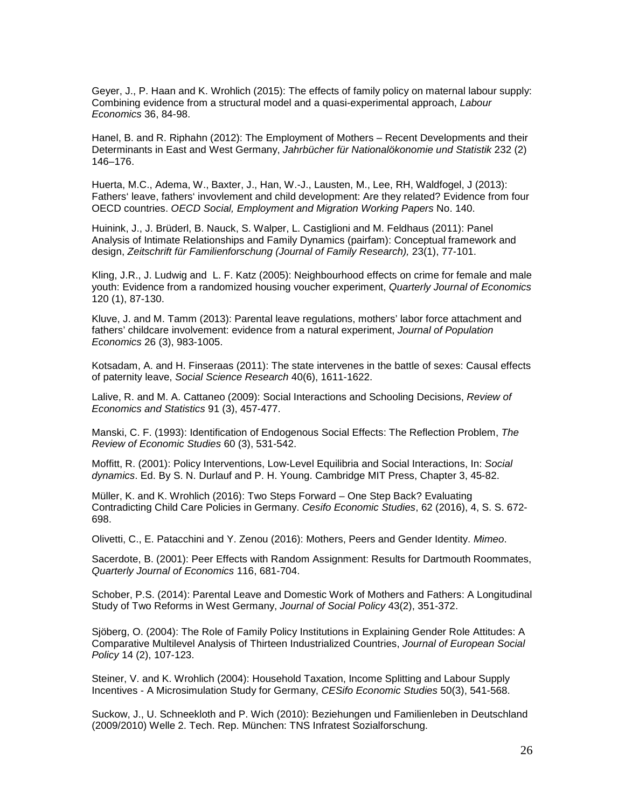Geyer, J., P. Haan and K. Wrohlich (2015): The effects of family policy on maternal labour supply: Combining evidence from a structural model and a quasi-experimental approach, *Labour Economics* 36, 84-98.

Hanel, B. and R. Riphahn (2012): The Employment of Mothers – Recent Developments and their Determinants in East and West Germany, *Jahrbücher für Nationalökonomie und Statistik* 232 (2) 146–176.

Huerta, M.C., Adema, W., Baxter, J., Han, W.-J., Lausten, M., Lee, RH, Waldfogel, J (2013): Fathers' leave, fathers' invovlement and child development: Are they related? Evidence from four OECD countries. *OECD Social, Employment and Migration Working Papers* No. 140.

Huinink, J., J. Brüderl, B. Nauck, S. Walper, L. Castiglioni and M. Feldhaus (2011): Panel Analysis of Intimate Relationships and Family Dynamics (pairfam): Conceptual framework and design, *Zeitschrift für Familienforschung (Journal of Family Research),* 23(1), 77-101.

Kling, J.R., J. Ludwig and L. F. Katz (2005): Neighbourhood effects on crime for female and male youth: Evidence from a randomized housing voucher experiment, *Quarterly Journal of Economics* 120 (1), 87-130.

Kluve, J. and M. Tamm (2013): Parental leave regulations, mothers' labor force attachment and fathers' childcare involvement: evidence from a natural experiment, *Journal of Population Economics* 26 (3), 983-1005.

Kotsadam, A. and H. Finseraas (2011): The state intervenes in the battle of sexes: Causal effects of paternity leave, *Social Science Research* 40(6), 1611-1622.

Lalive, R. and M. A. Cattaneo (2009): Social Interactions and Schooling Decisions, *Review of Economics and Statistics* 91 (3), 457-477.

Manski, C. F. (1993): Identification of Endogenous Social Effects: The Reflection Problem, *The Review of Economic Studies* 60 (3), 531-542.

Moffitt, R. (2001): Policy Interventions, Low-Level Equilibria and Social Interactions, In: *Social dynamics*. Ed. By S. N. Durlauf and P. H. Young. Cambridge MIT Press, Chapter 3, 45-82.

Müller, K. and K. Wrohlich (2016): Two Steps Forward – One Step Back? Evaluating Contradicting Child Care Policies in Germany. *Cesifo Economic Studies*, 62 (2016), 4, S. S. 672- 698.

Olivetti, C., E. Patacchini and Y. Zenou (2016): Mothers, Peers and Gender Identity. *Mimeo*.

Sacerdote, B. (2001): Peer Effects with Random Assignment: Results for Dartmouth Roommates, *Quarterly Journal of Economics* 116, 681-704.

Schober, P.S. (2014): Parental Leave and Domestic Work of Mothers and Fathers: A Longitudinal Study of Two Reforms in West Germany, *Journal of Social Policy* 43(2), 351-372.

Sjöberg, O. (2004): The Role of Family Policy Institutions in Explaining Gender Role Attitudes: A Comparative Multilevel Analysis of Thirteen Industrialized Countries, *Journal of European Social Policy* 14 (2), 107-123.

Steiner, V. and K. Wrohlich (2004): Household Taxation, Income Splitting and Labour Supply Incentives - A Microsimulation Study for Germany, *CESifo Economic Studies* 50(3), 541-568.

Suckow, J., U. Schneekloth and P. Wich (2010): Beziehungen und Familienleben in Deutschland (2009/2010) Welle 2. Tech. Rep. München: TNS Infratest Sozialforschung.